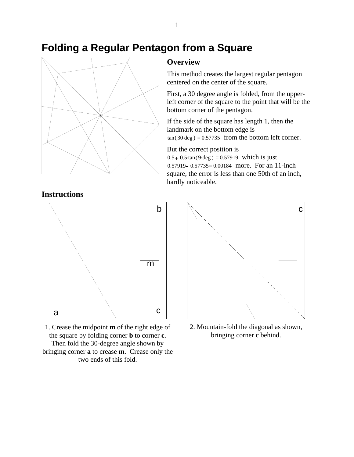## **Folding a Regular Pentagon from a Square**



## **Overview**

This method creates the largest regular pentagon centered on the center of the square.

First, a 30 degree angle is folded, from the upperleft corner of the square to the point that will be the bottom corner of the pentagon.

If the side of the square has length 1, then the landmark on the bottom edge is  $tan(30 deg) = 0.57735$  from the bottom left corner.

But the correct position is  $0.5 + 0.5 \tan(9 \deg) = 0.57919$  which is just 0.57919 – 0.57735 = 0.00184 more. For an 11-inch square, the error is less than one 50th of an inch, hardly noticeable.

## **Instructions**



1. Crease the midpoint **m** of the right edge of the square by folding corner **b** to corner **c**. Then fold the 30-degree angle shown by bringing corner **a** to crease **m**. Crease only the two ends of this fold.



2. Mountain-fold the diagonal as shown, bringing corner **c** behind.